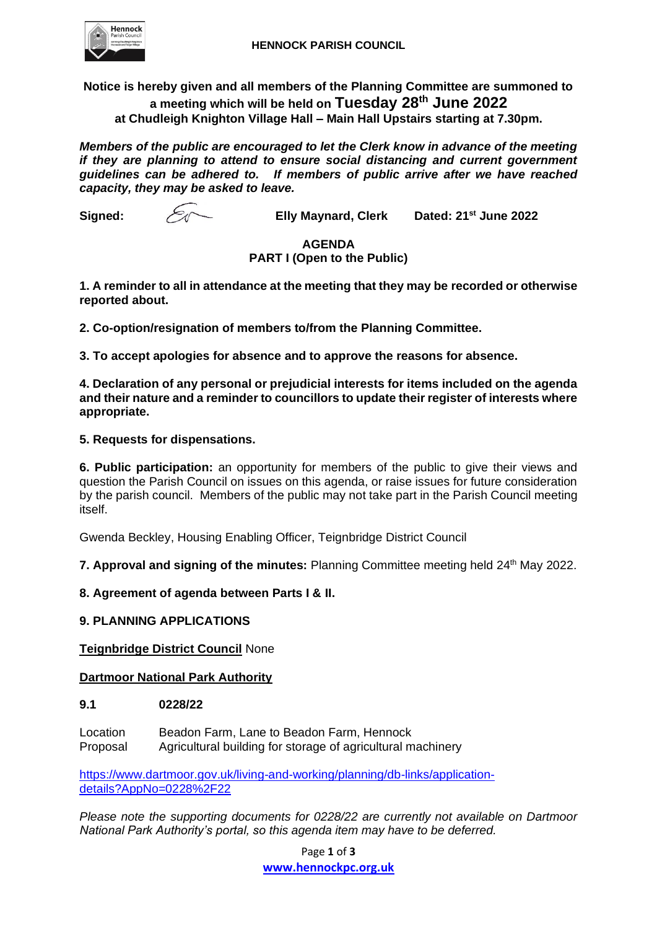

**Notice is hereby given and all members of the Planning Committee are summoned to a meeting which will be held on Tuesday 28 th June 2022 at Chudleigh Knighton Village Hall – Main Hall Upstairs starting at 7.30pm.**

*Members of the public are encouraged to let the Clerk know in advance of the meeting if they are planning to attend to ensure social distancing and current government guidelines can be adhered to. If members of public arrive after we have reached capacity, they may be asked to leave.*

**Signed: Elly Maynard, Clerk Dated: 21st June 2022**

# **AGENDA PART I (Open to the Public)**

**1. A reminder to all in attendance at the meeting that they may be recorded or otherwise reported about.**

**2. Co-option/resignation of members to/from the Planning Committee.**

**3. To accept apologies for absence and to approve the reasons for absence.** 

**4. Declaration of any personal or prejudicial interests for items included on the agenda and their nature and a reminder to councillors to update their register of interests where appropriate.**

# **5. Requests for dispensations.**

**6. Public participation:** an opportunity for members of the public to give their views and question the Parish Council on issues on this agenda, or raise issues for future consideration by the parish council. Members of the public may not take part in the Parish Council meeting itself.

Gwenda Beckley, Housing Enabling Officer, Teignbridge District Council

7. Approval and signing of the minutes: Planning Committee meeting held 24<sup>th</sup> May 2022.

**8. Agreement of agenda between Parts I & II.**

## **9. PLANNING APPLICATIONS**

**Teignbridge District Council** None

## **Dartmoor National Park Authority**

## **9.1 0228/22**

Location Beadon Farm, Lane to Beadon Farm, Hennock Proposal Agricultural building for storage of agricultural machinery

[https://www.dartmoor.gov.uk/living-and-working/planning/db-links/application](https://www.dartmoor.gov.uk/living-and-working/planning/db-links/application-details?AppNo=0228%2F22)[details?AppNo=0228%2F22](https://www.dartmoor.gov.uk/living-and-working/planning/db-links/application-details?AppNo=0228%2F22)

*Please note the supporting documents for 0228/22 are currently not available on Dartmoor National Park Authority's portal, so this agenda item may have to be deferred.*

> Page **1** of **3 [www.hennockpc.org.uk](file:///C:/Users/clerk/Documents/Planning%20Committee%20&%20Register/Agenda/Agenda%202021/www.hennockpc.org.uk)**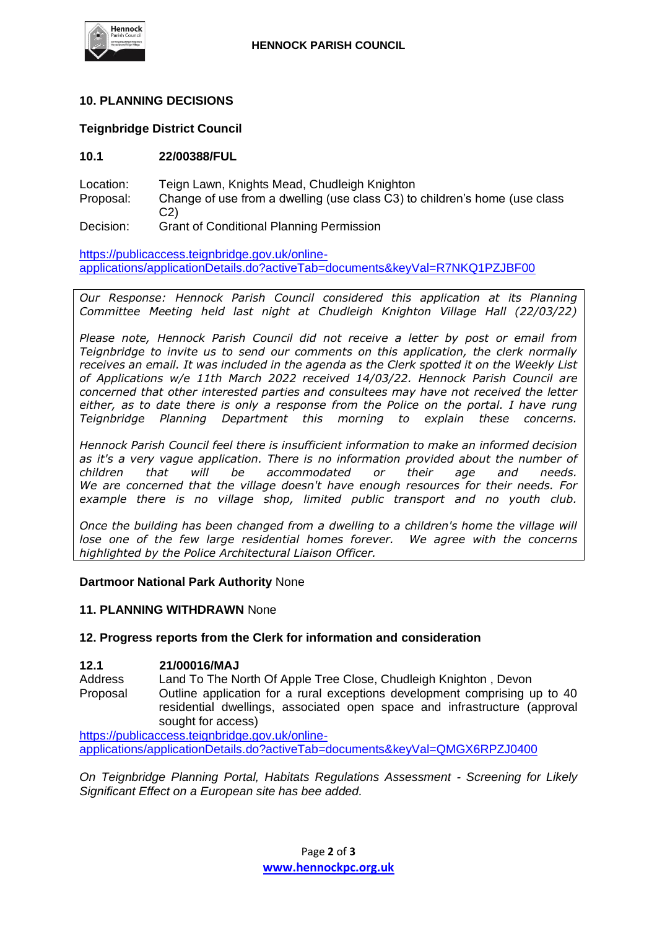

# **10. PLANNING DECISIONS**

## **Teignbridge District Council**

# **10.1 22/00388/FUL**

Location: Teign Lawn, Knights Mead, Chudleigh Knighton

- Proposal: Change of use from a dwelling (use class C3) to children's home (use class C2)
- Decision: Grant of Conditional Planning Permission

[https://publicaccess.teignbridge.gov.uk/online](https://publicaccess.teignbridge.gov.uk/online-applications/applicationDetails.do?activeTab=documents&keyVal=R7NKQ1PZJBF00)[applications/applicationDetails.do?activeTab=documents&keyVal=R7NKQ1PZJBF00](https://publicaccess.teignbridge.gov.uk/online-applications/applicationDetails.do?activeTab=documents&keyVal=R7NKQ1PZJBF00)

*Our Response: Hennock Parish Council considered this application at its Planning Committee Meeting held last night at Chudleigh Knighton Village Hall (22/03/22)* 

*Please note, Hennock Parish Council did not receive a letter by post or email from Teignbridge to invite us to send our comments on this application, the clerk normally receives an email. It was included in the agenda as the Clerk spotted it on the Weekly List of Applications w/e 11th March 2022 received 14/03/22. Hennock Parish Council are concerned that other interested parties and consultees may have not received the letter either, as to date there is only a response from the Police on the portal. I have rung Teignbridge Planning Department this morning to explain these concerns.* 

*Hennock Parish Council feel there is insufficient information to make an informed decision as it's a very vague application. There is no information provided about the number of children that will be accommodated or their age and needs. We are concerned that the village doesn't have enough resources for their needs. For example there is no village shop, limited public transport and no youth club.* 

*Once the building has been changed from a dwelling to a children's home the village will*  lose one of the few large residential homes forever. We agree with the concerns *highlighted by the Police Architectural Liaison Officer.*

#### **Dartmoor National Park Authority** None

## **11. PLANNING WITHDRAWN** None

## **12. Progress reports from the Clerk for information and consideration**

#### **12.1 21/00016/MAJ**

Address Land To The North Of Apple Tree Close, Chudleigh Knighton , Devon Proposal Outline application for a rural exceptions development comprising up to 40 residential dwellings, associated open space and infrastructure (approval sought for access)

[https://publicaccess.teignbridge.gov.uk/online](https://publicaccess.teignbridge.gov.uk/online-applications/applicationDetails.do?activeTab=documents&keyVal=QMGX6RPZJ0400)[applications/applicationDetails.do?activeTab=documents&keyVal=QMGX6RPZJ0400](https://publicaccess.teignbridge.gov.uk/online-applications/applicationDetails.do?activeTab=documents&keyVal=QMGX6RPZJ0400)

*On Teignbridge Planning Portal, Habitats Regulations Assessment - Screening for Likely Significant Effect on a European site has bee added.*